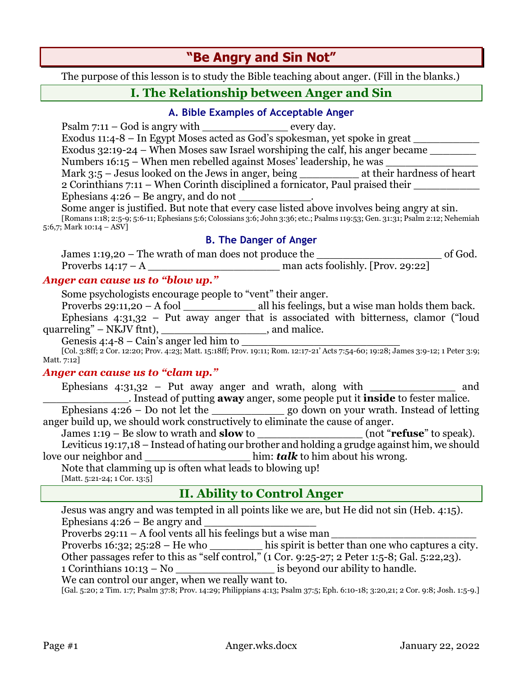# **"Be Angry and Sin Not"**

The purpose of this lesson is to study the Bible teaching about anger. (Fill in the blanks.)

# **I. The Relationship between Anger and Sin**

#### **A. Bible Examples of Acceptable Anger**

Psalm  $7:11 - God$  is angry with every day. Exodus  $11:4-8$  – In Egypt Moses acted as God's spokesman, yet spoke in great Exodus  $32:19-24$  – When Moses saw Israel worshiping the calf, his anger became Numbers  $16:15$  – When men rebelled against Moses' leadership, he was Mark 3:5 – Jesus looked on the Jews in anger, being \_\_\_\_\_\_\_\_\_\_\_\_\_\_ at their hardness of heart 2 Corinthians 7:11 – When Corinth disciplined a fornicator, Paul praised their Ephesians  $4:26$  – Be angry, and do not

Some anger is justified. But note that every case listed above involves being angry at sin. [Romans 1:18; 2:5-9; 5:6-11; Ephesians 5:6; Colossians 3:6; John 3:36; etc.; Psalms 119:53; Gen. 31:31; Psalm 2:12; Nehemiah 5:6,7; Mark 10:14 – ASV]

#### **B. The Danger of Anger**

| James 1:19,20 – The wrath of man does not produce the |                                   | of God. |
|-------------------------------------------------------|-----------------------------------|---------|
| Proverbs $14:17 - A$                                  | man acts foolishly. [Prov. 29:22] |         |

#### *Anger can cause us to "blow up."*

Some psychologists encourage people to "vent" their anger.

Proverbs 29:11,20 – A fool \_\_\_\_\_\_\_\_\_\_\_ all his feelings, but a wise man holds them back.

Ephesians  $4:31,32$  – Put away anger that is associated with bitterness, clamor ("loud quarreling" – NKJV ftnt), \_\_\_\_\_\_\_\_\_\_\_\_\_\_\_\_\_\_\_, and malice.

Genesis  $4:4-8$  – Cain's anger led him to

[Col. 3:8ff; 2 Cor. 12:20; Prov. 4:23; Matt. 15:18ff; Prov. 19:11; Rom. 12:17-21' Acts 7:54-60; 19:28; James 3:9-12; 1 Peter 3:9; Matt. 7:12]

#### *Anger can cause us to "clam up."*

Ephesians  $4:31,32$  – Put away anger and wrath, along with \_\_\_\_\_\_\_\_\_\_\_\_\_\_\_ and \_\_\_\_\_\_\_\_\_\_\_\_\_. Instead of putting **away** anger, some people put it **inside** to fester malice. Ephesians 4:26 – Do not let the \_\_\_\_\_\_\_\_\_\_\_ go down on your wrath. Instead of letting anger build up, we should work constructively to eliminate the cause of anger. James 1:19 – Be slow to wrath and **slow** to \_\_\_\_\_\_\_\_\_\_\_\_\_\_\_\_ (not "**refuse**" to speak). Leviticus 19:17,18 – Instead of hating our brother and holding a grudge against him, we should love our neighbor and  $\lim: \mathbf{t} \mathbf{a} \mathbf{l} \mathbf{k}$  to him about his wrong.

Note that clamming up is often what leads to blowing up! [Matt. 5:21-24; 1 Cor. 13:5]

# **II. Ability to Control Anger**

Jesus was angry and was tempted in all points like we are, but He did not sin (Heb. 4:15). Ephesians  $4:26$  – Be angry and

Proverbs 29:11 – A fool vents all his feelings but a wise man *\_\_\_\_\_\_\_\_\_\_\_\_\_\_\_\_\_\_\_\_\_\_*

Proverbs 16:32; 25:28 – He who \_\_\_\_\_\_\_\_\_\_ his spirit is better than one who captures a city. Other passages refer to this as "self control," (1 Cor. 9:25-27; 2 Peter 1:5-8; Gal. 5:22,23).

1 Corinthians 10:13 – No \_\_\_\_\_\_\_\_\_\_\_\_\_\_\_ is beyond our ability to handle.

We can control our anger, when we really want to.

[Gal. 5:20; 2 Tim. 1:7; Psalm 37:8; Prov. 14:29; Philippians 4:13; Psalm 37:5; Eph. 6:10-18; 3:20,21; 2 Cor. 9:8; Josh. 1:5-9.]